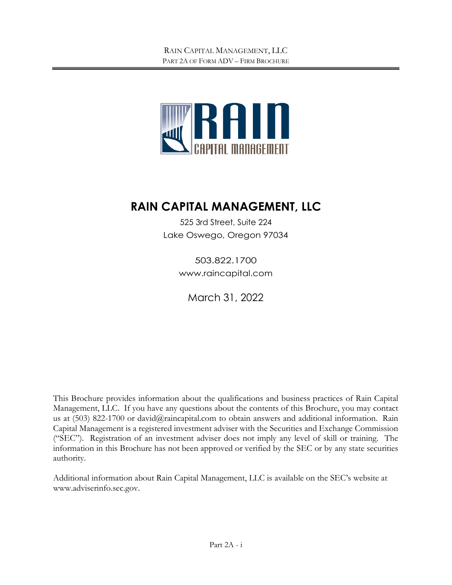

# **RAIN CAPITAL MANAGEMENT, LLC**

525 3rd Street, Suite 224 Lake Oswego, Oregon 97034

> 503.822.1700 [www.raincapital.com](http://www.raincapital.com/)

March 31, 2022

This Brochure provides information about the qualifications and business practices of Rain Capital Management, LLC. If you have any questions about the contents of this Brochure, you may contact us at (503) 822-1700 or david@raincapital.com to obtain answers and additional information. Rain Capital Management is a registered investment adviser with the Securities and Exchange Commission ("SEC"). Registration of an investment adviser does not imply any level of skill or training. The information in this Brochure has not been approved or verified by the SEC or by any state securities authority.

Additional information about Rain Capital Management, LLC is available on the SEC's website at www.adviserinfo.sec.gov.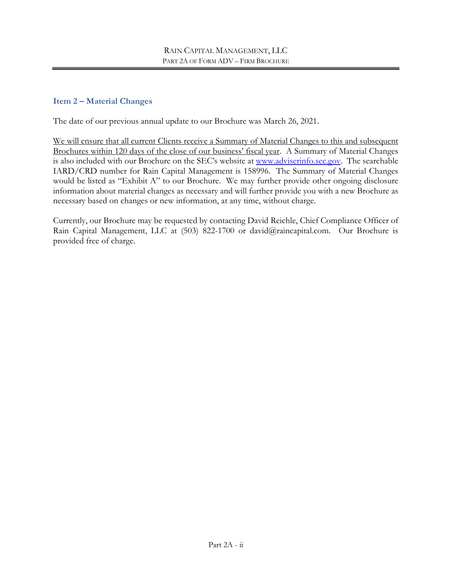#### <span id="page-1-0"></span>**Item 2 – Material Changes**

The date of our previous annual update to our Brochure was March 26, 2021.

We will ensure that all current Clients receive a Summary of Material Changes to this and subsequent Brochures within 120 days of the close of our business' fiscal year. A Summary of Material Changes is also included with our Brochure on the SEC's website at [www.adviserinfo.sec.gov.](http://www.adviserinfo.sec.gov/) The searchable IARD/CRD number for Rain Capital Management is 158996. The Summary of Material Changes would be listed as "Exhibit A" to our Brochure. We may further provide other ongoing disclosure information about material changes as necessary and will further provide you with a new Brochure as necessary based on changes or new information, at any time, without charge.

Currently, our Brochure may be requested by contacting David Reichle, Chief Compliance Officer of Rain Capital Management, LLC at (503) 822-1700 or david@raincapital.com. Our Brochure is provided free of charge.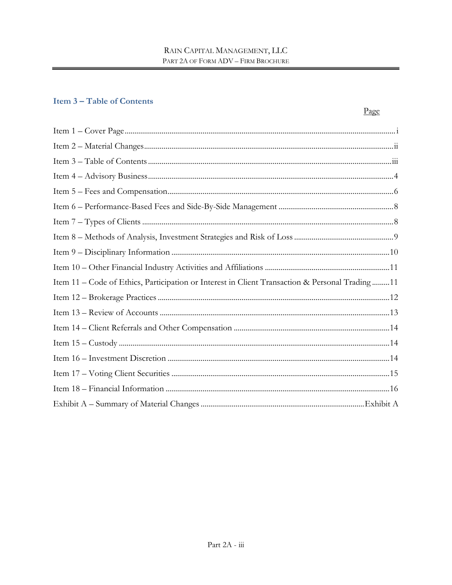## <span id="page-2-0"></span>**Item 3-Table of Contents**

|                                                                                                | Page |
|------------------------------------------------------------------------------------------------|------|
|                                                                                                |      |
|                                                                                                |      |
|                                                                                                |      |
|                                                                                                |      |
|                                                                                                |      |
|                                                                                                |      |
|                                                                                                |      |
|                                                                                                |      |
|                                                                                                |      |
|                                                                                                |      |
| Item 11 - Code of Ethics, Participation or Interest in Client Transaction & Personal Trading11 |      |
|                                                                                                |      |
|                                                                                                |      |
|                                                                                                |      |
|                                                                                                |      |
|                                                                                                |      |
|                                                                                                |      |
|                                                                                                |      |
|                                                                                                |      |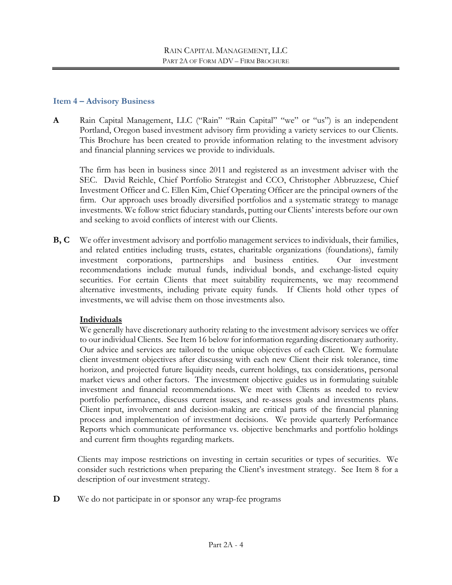#### <span id="page-3-0"></span>**Item 4 – Advisory Business**

**A** Rain Capital Management, LLC ("Rain" "Rain Capital" "we" or "us") is an independent Portland, Oregon based investment advisory firm providing a variety services to our Clients. This Brochure has been created to provide information relating to the investment advisory and financial planning services we provide to individuals.

The firm has been in business since 2011 and registered as an investment adviser with the SEC. David Reichle, Chief Portfolio Strategist and CCO, Christopher Abbruzzese, Chief Investment Officer and C. Ellen Kim, Chief Operating Officer are the principal owners of the firm. Our approach uses broadly diversified portfolios and a systematic strategy to manage investments. We follow strict fiduciary standards, putting our Clients' interests before our own and seeking to avoid conflicts of interest with our Clients.

**B, C** We offer investment advisory and portfolio management services to individuals, their families, and related entities including trusts, estates, charitable organizations (foundations), family investment corporations, partnerships and business entities. Our investment recommendations include mutual funds, individual bonds, and exchange-listed equity securities. For certain Clients that meet suitability requirements, we may recommend alternative investments, including private equity funds. If Clients hold other types of investments, we will advise them on those investments also.

#### **Individuals**

We generally have discretionary authority relating to the investment advisory services we offer to our individual Clients. See Item 16 below for information regarding discretionary authority. Our advice and services are tailored to the unique objectives of each Client. We formulate client investment objectives after discussing with each new Client their risk tolerance, time horizon, and projected future liquidity needs, current holdings, tax considerations, personal market views and other factors. The investment objective guides us in formulating suitable investment and financial recommendations. We meet with Clients as needed to review portfolio performance, discuss current issues, and re-assess goals and investments plans. Client input, involvement and decision-making are critical parts of the financial planning process and implementation of investment decisions. We provide quarterly Performance Reports which communicate performance vs. objective benchmarks and portfolio holdings and current firm thoughts regarding markets.

Clients may impose restrictions on investing in certain securities or types of securities. We consider such restrictions when preparing the Client's investment strategy. See Item 8 for a description of our investment strategy.

**D** We do not participate in or sponsor any wrap-fee programs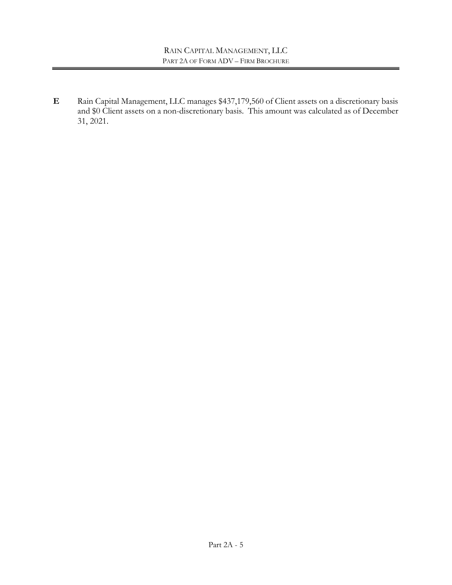**E** Rain Capital Management, LLC manages \$437,179,560 of Client assets on a discretionary basis and \$0 Client assets on a non-discretionary basis. This amount was calculated as of December 31, 2021.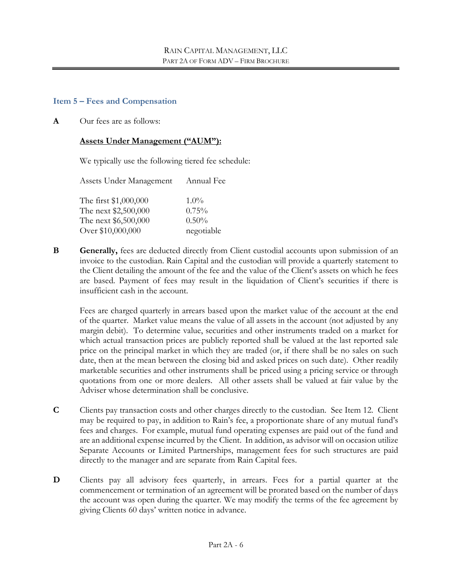#### <span id="page-5-0"></span>**Item 5 – Fees and Compensation**

**A** Our fees are as follows:

#### **Assets Under Management ("AUM"):**

We typically use the following tiered fee schedule:

| Assets Under Management | Annual Fee |
|-------------------------|------------|
| The first \$1,000,000   | $1.0\%$    |
| The next \$2,500,000    | 0.75%      |
| The next \$6,500,000    | 0.50%      |
| Over \$10,000,000       | negotiable |

**B Generally,** fees are deducted directly from Client custodial accounts upon submission of an invoice to the custodian. Rain Capital and the custodian will provide a quarterly statement to the Client detailing the amount of the fee and the value of the Client's assets on which he fees are based. Payment of fees may result in the liquidation of Client's securities if there is insufficient cash in the account.

Fees are charged quarterly in arrears based upon the market value of the account at the end of the quarter. Market value means the value of all assets in the account (not adjusted by any margin debit). To determine value, securities and other instruments traded on a market for which actual transaction prices are publicly reported shall be valued at the last reported sale price on the principal market in which they are traded (or, if there shall be no sales on such date, then at the mean between the closing bid and asked prices on such date). Other readily marketable securities and other instruments shall be priced using a pricing service or through quotations from one or more dealers. All other assets shall be valued at fair value by the Adviser whose determination shall be conclusive.

- **C** Clients pay transaction costs and other charges directly to the custodian. See Item 12. Client may be required to pay, in addition to Rain's fee, a proportionate share of any mutual fund's fees and charges. For example, mutual fund operating expenses are paid out of the fund and are an additional expense incurred by the Client. In addition, as advisor will on occasion utilize Separate Accounts or Limited Partnerships, management fees for such structures are paid directly to the manager and are separate from Rain Capital fees.
- **D** Clients pay all advisory fees quarterly, in arrears. Fees for a partial quarter at the commencement or termination of an agreement will be prorated based on the number of days the account was open during the quarter. We may modify the terms of the fee agreement by giving Clients 60 days' written notice in advance.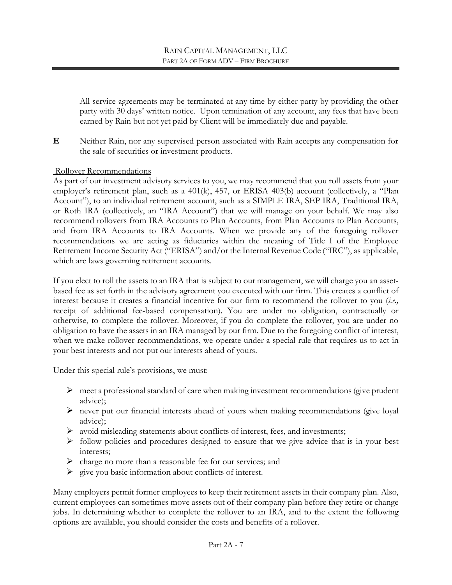All service agreements may be terminated at any time by either party by providing the other party with 30 days' written notice. Upon termination of any account, any fees that have been earned by Rain but not yet paid by Client will be immediately due and payable.

**E** Neither Rain, nor any supervised person associated with Rain accepts any compensation for the sale of securities or investment products.

#### Rollover Recommendations

As part of our investment advisory services to you, we may recommend that you roll assets from your employer's retirement plan, such as a 401(k), 457, or ERISA 403(b) account (collectively, a "Plan Account"), to an individual retirement account, such as a SIMPLE IRA, SEP IRA, Traditional IRA, or Roth IRA (collectively, an "IRA Account") that we will manage on your behalf. We may also recommend rollovers from IRA Accounts to Plan Accounts, from Plan Accounts to Plan Accounts, and from IRA Accounts to IRA Accounts. When we provide any of the foregoing rollover recommendations we are acting as fiduciaries within the meaning of Title I of the Employee Retirement Income Security Act ("ERISA") and/or the Internal Revenue Code ("IRC"), as applicable, which are laws governing retirement accounts.

If you elect to roll the assets to an IRA that is subject to our management, we will charge you an assetbased fee as set forth in the advisory agreement you executed with our firm. This creates a conflict of interest because it creates a financial incentive for our firm to recommend the rollover to you (*i.e.,* receipt of additional fee-based compensation). You are under no obligation, contractually or otherwise, to complete the rollover. Moreover, if you do complete the rollover, you are under no obligation to have the assets in an IRA managed by our firm. Due to the foregoing conflict of interest, when we make rollover recommendations, we operate under a special rule that requires us to act in your best interests and not put our interests ahead of yours.

Under this special rule's provisions, we must:

- $\triangleright$  meet a professional standard of care when making investment recommendations (give prudent advice);
- never put our financial interests ahead of yours when making recommendations (give loyal advice);
- $\triangleright$  avoid misleading statements about conflicts of interest, fees, and investments;
- $\triangleright$  follow policies and procedures designed to ensure that we give advice that is in your best interests;
- $\triangleright$  charge no more than a reasonable fee for our services; and
- $\triangleright$  give you basic information about conflicts of interest.

Many employers permit former employees to keep their retirement assets in their company plan. Also, current employees can sometimes move assets out of their company plan before they retire or change jobs. In determining whether to complete the rollover to an IRA, and to the extent the following options are available, you should consider the costs and benefits of a rollover.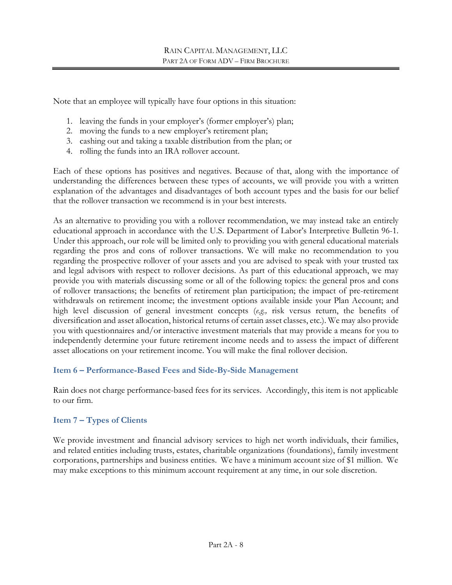Note that an employee will typically have four options in this situation:

- 1. leaving the funds in your employer's (former employer's) plan;
- 2. moving the funds to a new employer's retirement plan;
- 3. cashing out and taking a taxable distribution from the plan; or
- 4. rolling the funds into an IRA rollover account.

Each of these options has positives and negatives. Because of that, along with the importance of understanding the differences between these types of accounts, we will provide you with a written explanation of the advantages and disadvantages of both account types and the basis for our belief that the rollover transaction we recommend is in your best interests.

As an alternative to providing you with a rollover recommendation, we may instead take an entirely educational approach in accordance with the U.S. Department of Labor's Interpretive Bulletin 96-1. Under this approach, our role will be limited only to providing you with general educational materials regarding the pros and cons of rollover transactions. We will make no recommendation to you regarding the prospective rollover of your assets and you are advised to speak with your trusted tax and legal advisors with respect to rollover decisions. As part of this educational approach, we may provide you with materials discussing some or all of the following topics: the general pros and cons of rollover transactions; the benefits of retirement plan participation; the impact of pre-retirement withdrawals on retirement income; the investment options available inside your Plan Account; and high level discussion of general investment concepts (*e.g.,* risk versus return, the benefits of diversification and asset allocation, historical returns of certain asset classes, etc.). We may also provide you with questionnaires and/or interactive investment materials that may provide a means for you to independently determine your future retirement income needs and to assess the impact of different asset allocations on your retirement income. You will make the final rollover decision.

#### <span id="page-7-0"></span>**Item 6 – Performance-Based Fees and Side-By-Side Management**

Rain does not charge performance-based fees for its services. Accordingly, this item is not applicable to our firm.

## <span id="page-7-1"></span>**Item 7 – Types of Clients**

We provide investment and financial advisory services to high net worth individuals, their families, and related entities including trusts, estates, charitable organizations (foundations), family investment corporations, partnerships and business entities. We have a minimum account size of \$1 million. We may make exceptions to this minimum account requirement at any time, in our sole discretion.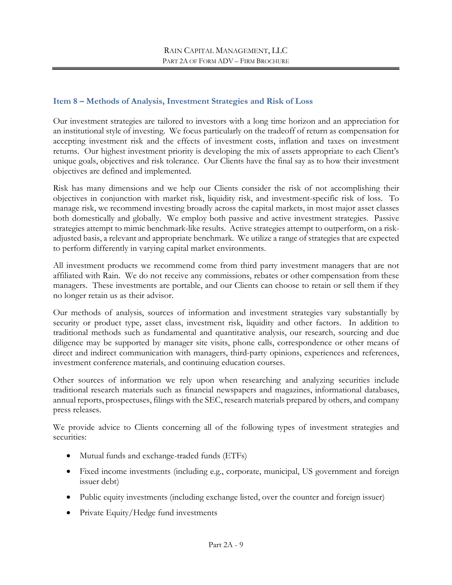#### <span id="page-8-0"></span>**Item 8 – Methods of Analysis, Investment Strategies and Risk of Loss**

Our investment strategies are tailored to investors with a long time horizon and an appreciation for an institutional style of investing. We focus particularly on the tradeoff of return as compensation for accepting investment risk and the effects of investment costs, inflation and taxes on investment returns. Our highest investment priority is developing the mix of assets appropriate to each Client's unique goals, objectives and risk tolerance. Our Clients have the final say as to how their investment objectives are defined and implemented.

Risk has many dimensions and we help our Clients consider the risk of not accomplishing their objectives in conjunction with market risk, liquidity risk, and investment-specific risk of loss. To manage risk, we recommend investing broadly across the capital markets, in most major asset classes both domestically and globally. We employ both passive and active investment strategies. Passive strategies attempt to mimic benchmark-like results. Active strategies attempt to outperform, on a riskadjusted basis, a relevant and appropriate benchmark. We utilize a range of strategies that are expected to perform differently in varying capital market environments.

All investment products we recommend come from third party investment managers that are not affiliated with Rain. We do not receive any commissions, rebates or other compensation from these managers. These investments are portable, and our Clients can choose to retain or sell them if they no longer retain us as their advisor.

Our methods of analysis, sources of information and investment strategies vary substantially by security or product type, asset class, investment risk, liquidity and other factors. In addition to traditional methods such as fundamental and quantitative analysis, our research, sourcing and due diligence may be supported by manager site visits, phone calls, correspondence or other means of direct and indirect communication with managers, third-party opinions, experiences and references, investment conference materials, and continuing education courses.

Other sources of information we rely upon when researching and analyzing securities include traditional research materials such as financial newspapers and magazines, informational databases, annual reports, prospectuses, filings with the SEC, research materials prepared by others, and company press releases.

We provide advice to Clients concerning all of the following types of investment strategies and securities:

- Mutual funds and exchange-traded funds (ETFs)
- Fixed income investments (including e.g., corporate, municipal, US government and foreign issuer debt)
- Public equity investments (including exchange listed, over the counter and foreign issuer)
- Private Equity/Hedge fund investments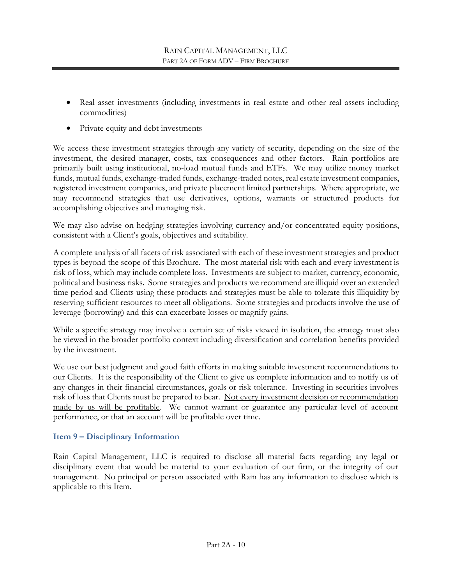- Real asset investments (including investments in real estate and other real assets including commodities)
- Private equity and debt investments

We access these investment strategies through any variety of security, depending on the size of the investment, the desired manager, costs, tax consequences and other factors. Rain portfolios are primarily built using institutional, no-load mutual funds and ETFs. We may utilize money market funds, mutual funds, exchange-traded funds, exchange-traded notes, real estate investment companies, registered investment companies, and private placement limited partnerships. Where appropriate, we may recommend strategies that use derivatives, options, warrants or structured products for accomplishing objectives and managing risk.

We may also advise on hedging strategies involving currency and/or concentrated equity positions, consistent with a Client's goals, objectives and suitability.

A complete analysis of all facets of risk associated with each of these investment strategies and product types is beyond the scope of this Brochure. The most material risk with each and every investment is risk of loss, which may include complete loss. Investments are subject to market, currency, economic, political and business risks. Some strategies and products we recommend are illiquid over an extended time period and Clients using these products and strategies must be able to tolerate this illiquidity by reserving sufficient resources to meet all obligations. Some strategies and products involve the use of leverage (borrowing) and this can exacerbate losses or magnify gains.

While a specific strategy may involve a certain set of risks viewed in isolation, the strategy must also be viewed in the broader portfolio context including diversification and correlation benefits provided by the investment.

We use our best judgment and good faith efforts in making suitable investment recommendations to our Clients. It is the responsibility of the Client to give us complete information and to notify us of any changes in their financial circumstances, goals or risk tolerance. Investing in securities involves risk of loss that Clients must be prepared to bear. Not every investment decision or recommendation made by us will be profitable. We cannot warrant or guarantee any particular level of account performance, or that an account will be profitable over time.

## <span id="page-9-0"></span>**Item 9 – Disciplinary Information**

Rain Capital Management, LLC is required to disclose all material facts regarding any legal or disciplinary event that would be material to your evaluation of our firm, or the integrity of our management. No principal or person associated with Rain has any information to disclose which is applicable to this Item.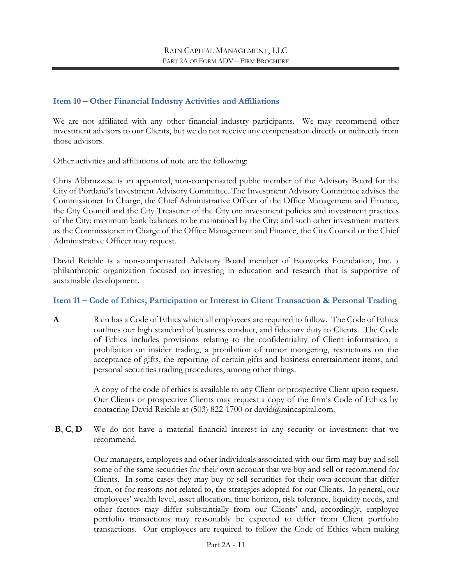#### <span id="page-10-0"></span>**Item 10 – Other Financial Industry Activities and Affiliations**

We are not affiliated with any other financial industry participants. We may recommend other investment advisors to our Clients, but we do not receive any compensation directly or indirectly from those advisors.

Other activities and affiliations of note are the following:

Chris Abbruzzese is an appointed, non-compensated public member of the Advisory Board for the City of Portland's Investment Advisory Committee. The Investment Advisory Committee advises the Commissioner In Charge, the Chief Administrative Officer of the Office Management and Finance, the City Council and the City Treasurer of the City on: investment policies and investment practices of the City; maximum bank balances to be maintained by the City; and such other investment matters as the Commissioner in Charge of the Office Management and Finance, the City Council or the Chief Administrative Officer may request.

David Reichle is a non-compensated Advisory Board member of Ecoworks Foundation, Inc. a philanthropic organization focused on investing in education and research that is supportive of sustainable development.

## <span id="page-10-1"></span>**Item 11 – Code of Ethics, Participation or Interest in Client Transaction & Personal Trading**

**A** Rain has a Code of Ethics which all employees are required to follow. The Code of Ethics outlines our high standard of business conduct, and fiduciary duty to Clients. The Code of Ethics includes provisions relating to the confidentiality of Client information, a prohibition on insider trading, a prohibition of rumor mongering, restrictions on the acceptance of gifts, the reporting of certain gifts and business entertainment items, and personal securities trading procedures, among other things.

> A copy of the code of ethics is available to any Client or prospective Client upon request. Our Clients or prospective Clients may request a copy of the firm's Code of Ethics by contacting David Reichle at (503) 822-1700 or david@raincapital.com.

**B**, **C**, **D** We do not have a material financial interest in any security or investment that we recommend.

> Our managers, employees and other individuals associated with our firm may buy and sell some of the same securities for their own account that we buy and sell or recommend for Clients. In some cases they may buy or sell securities for their own account that differ from, or for reasons not related to, the strategies adopted for our Clients. In general, our employees' wealth level, asset allocation, time horizon, risk tolerance, liquidity needs, and other factors may differ substantially from our Clients' and, accordingly, employee portfolio transactions may reasonably be expected to differ from Client portfolio transactions. Our employees are required to follow the Code of Ethics when making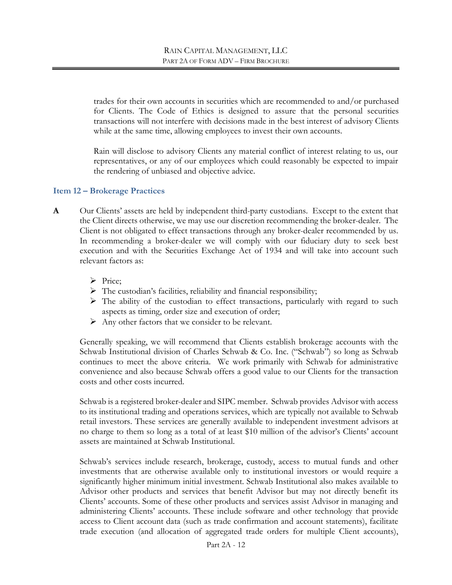trades for their own accounts in securities which are recommended to and/or purchased for Clients. The Code of Ethics is designed to assure that the personal securities transactions will not interfere with decisions made in the best interest of advisory Clients while at the same time, allowing employees to invest their own accounts.

Rain will disclose to advisory Clients any material conflict of interest relating to us, our representatives, or any of our employees which could reasonably be expected to impair the rendering of unbiased and objective advice.

#### <span id="page-11-0"></span>**Item 12 – Brokerage Practices**

- **A** Our Clients' assets are held by independent third-party custodians. Except to the extent that the Client directs otherwise, we may use our discretion recommending the broker-dealer. The Client is not obligated to effect transactions through any broker-dealer recommended by us. In recommending a broker-dealer we will comply with our fiduciary duty to seek best execution and with the Securities Exchange Act of 1934 and will take into account such relevant factors as:
	- > Price;
	- $\triangleright$  The custodian's facilities, reliability and financial responsibility;
	- $\triangleright$  The ability of the custodian to effect transactions, particularly with regard to such aspects as timing, order size and execution of order;
	- $\triangleright$  Any other factors that we consider to be relevant.

Generally speaking, we will recommend that Clients establish brokerage accounts with the Schwab Institutional division of Charles Schwab & Co. Inc. ("Schwab") so long as Schwab continues to meet the above criteria. We work primarily with Schwab for administrative convenience and also because Schwab offers a good value to our Clients for the transaction costs and other costs incurred.

Schwab is a registered broker-dealer and SIPC member. Schwab provides Advisor with access to its institutional trading and operations services, which are typically not available to Schwab retail investors. These services are generally available to independent investment advisors at no charge to them so long as a total of at least \$10 million of the advisor's Clients' account assets are maintained at Schwab Institutional.

Schwab's services include research, brokerage, custody, access to mutual funds and other investments that are otherwise available only to institutional investors or would require a significantly higher minimum initial investment. Schwab Institutional also makes available to Advisor other products and services that benefit Advisor but may not directly benefit its Clients' accounts. Some of these other products and services assist Advisor in managing and administering Clients' accounts. These include software and other technology that provide access to Client account data (such as trade confirmation and account statements), facilitate trade execution (and allocation of aggregated trade orders for multiple Client accounts),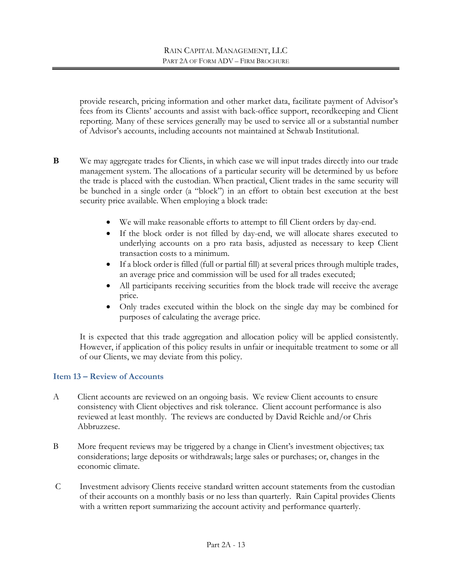provide research, pricing information and other market data, facilitate payment of Advisor's fees from its Clients' accounts and assist with back-office support, recordkeeping and Client reporting. Many of these services generally may be used to service all or a substantial number of Advisor's accounts, including accounts not maintained at Schwab Institutional.

- **B** We may aggregate trades for Clients, in which case we will input trades directly into our trade management system. The allocations of a particular security will be determined by us before the trade is placed with the custodian. When practical, Client trades in the same security will be bunched in a single order (a "block") in an effort to obtain best execution at the best security price available. When employing a block trade:
	- We will make reasonable efforts to attempt to fill Client orders by day-end.
	- If the block order is not filled by day-end, we will allocate shares executed to underlying accounts on a pro rata basis, adjusted as necessary to keep Client transaction costs to a minimum.
	- If a block order is filled (full or partial fill) at several prices through multiple trades, an average price and commission will be used for all trades executed;
	- All participants receiving securities from the block trade will receive the average price.
	- Only trades executed within the block on the single day may be combined for purposes of calculating the average price.

It is expected that this trade aggregation and allocation policy will be applied consistently. However, if application of this policy results in unfair or inequitable treatment to some or all of our Clients, we may deviate from this policy.

#### <span id="page-12-0"></span>**Item 13 – Review of Accounts**

- A Client accounts are reviewed on an ongoing basis. We review Client accounts to ensure consistency with Client objectives and risk tolerance. Client account performance is also reviewed at least monthly. The reviews are conducted by David Reichle and/or Chris Abbruzzese.
- B More frequent reviews may be triggered by a change in Client's investment objectives; tax considerations; large deposits or withdrawals; large sales or purchases; or, changes in the economic climate.
- C Investment advisory Clients receive standard written account statements from the custodian of their accounts on a monthly basis or no less than quarterly. Rain Capital provides Clients with a written report summarizing the account activity and performance quarterly.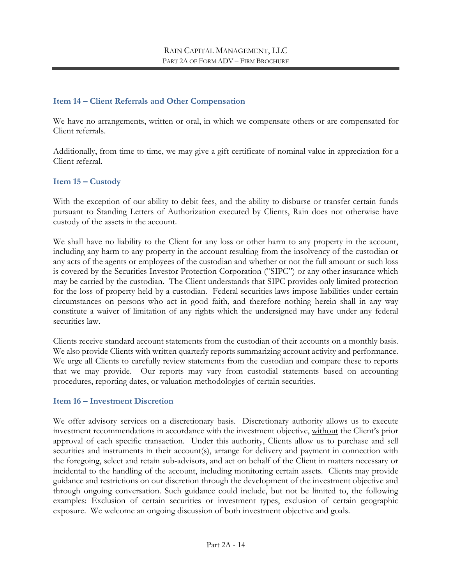#### <span id="page-13-0"></span>**Item 14 – Client Referrals and Other Compensation**

We have no arrangements, written or oral, in which we compensate others or are compensated for Client referrals.

Additionally, from time to time, we may give a gift certificate of nominal value in appreciation for a Client referral.

#### <span id="page-13-1"></span>**Item 15 – Custody**

With the exception of our ability to debit fees, and the ability to disburse or transfer certain funds pursuant to Standing Letters of Authorization executed by Clients, Rain does not otherwise have custody of the assets in the account.

We shall have no liability to the Client for any loss or other harm to any property in the account, including any harm to any property in the account resulting from the insolvency of the custodian or any acts of the agents or employees of the custodian and whether or not the full amount or such loss is covered by the Securities Investor Protection Corporation ("SIPC") or any other insurance which may be carried by the custodian. The Client understands that SIPC provides only limited protection for the loss of property held by a custodian. Federal securities laws impose liabilities under certain circumstances on persons who act in good faith, and therefore nothing herein shall in any way constitute a waiver of limitation of any rights which the undersigned may have under any federal securities law.

Clients receive standard account statements from the custodian of their accounts on a monthly basis. We also provide Clients with written quarterly reports summarizing account activity and performance. We urge all Clients to carefully review statements from the custodian and compare these to reports that we may provide. Our reports may vary from custodial statements based on accounting procedures, reporting dates, or valuation methodologies of certain securities.

#### <span id="page-13-2"></span>**Item 16 – Investment Discretion**

We offer advisory services on a discretionary basis. Discretionary authority allows us to execute investment recommendations in accordance with the investment objective, without the Client's prior approval of each specific transaction. Under this authority, Clients allow us to purchase and sell securities and instruments in their account(s), arrange for delivery and payment in connection with the foregoing, select and retain sub-advisors, and act on behalf of the Client in matters necessary or incidental to the handling of the account, including monitoring certain assets. Clients may provide guidance and restrictions on our discretion through the development of the investment objective and through ongoing conversation. Such guidance could include, but not be limited to, the following examples: Exclusion of certain securities or investment types, exclusion of certain geographic exposure. We welcome an ongoing discussion of both investment objective and goals.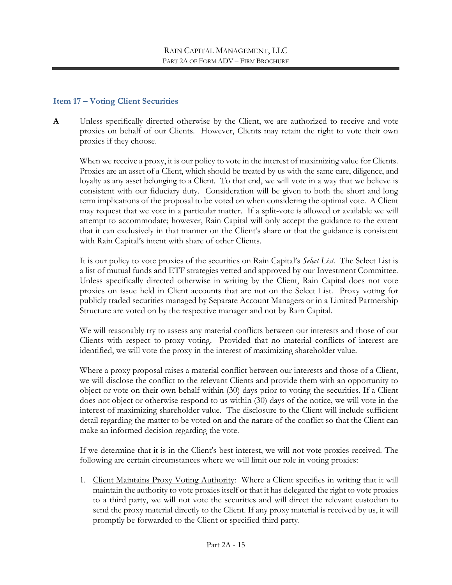#### <span id="page-14-0"></span>**Item 17 – Voting Client Securities**

**A** Unless specifically directed otherwise by the Client, we are authorized to receive and vote proxies on behalf of our Clients. However, Clients may retain the right to vote their own proxies if they choose.

When we receive a proxy, it is our policy to vote in the interest of maximizing value for Clients. Proxies are an asset of a Client, which should be treated by us with the same care, diligence, and loyalty as any asset belonging to a Client. To that end, we will vote in a way that we believe is consistent with our fiduciary duty. Consideration will be given to both the short and long term implications of the proposal to be voted on when considering the optimal vote. A Client may request that we vote in a particular matter. If a split-vote is allowed or available we will attempt to accommodate; however, Rain Capital will only accept the guidance to the extent that it can exclusively in that manner on the Client's share or that the guidance is consistent with Rain Capital's intent with share of other Clients.

It is our policy to vote proxies of the securities on Rain Capital's *Select List*. The Select List is a list of mutual funds and ETF strategies vetted and approved by our Investment Committee. Unless specifically directed otherwise in writing by the Client, Rain Capital does not vote proxies on issue held in Client accounts that are not on the Select List. Proxy voting for publicly traded securities managed by Separate Account Managers or in a Limited Partnership Structure are voted on by the respective manager and not by Rain Capital.

We will reasonably try to assess any material conflicts between our interests and those of our Clients with respect to proxy voting. Provided that no material conflicts of interest are identified, we will vote the proxy in the interest of maximizing shareholder value.

Where a proxy proposal raises a material conflict between our interests and those of a Client, we will disclose the conflict to the relevant Clients and provide them with an opportunity to object or vote on their own behalf within (30) days prior to voting the securities. If a Client does not object or otherwise respond to us within (30) days of the notice, we will vote in the interest of maximizing shareholder value. The disclosure to the Client will include sufficient detail regarding the matter to be voted on and the nature of the conflict so that the Client can make an informed decision regarding the vote.

If we determine that it is in the Client's best interest, we will not vote proxies received. The following are certain circumstances where we will limit our role in voting proxies:

1. Client Maintains Proxy Voting Authority: Where a Client specifies in writing that it will maintain the authority to vote proxies itself or that it has delegated the right to vote proxies to a third party, we will not vote the securities and will direct the relevant custodian to send the proxy material directly to the Client. If any proxy material is received by us, it will promptly be forwarded to the Client or specified third party.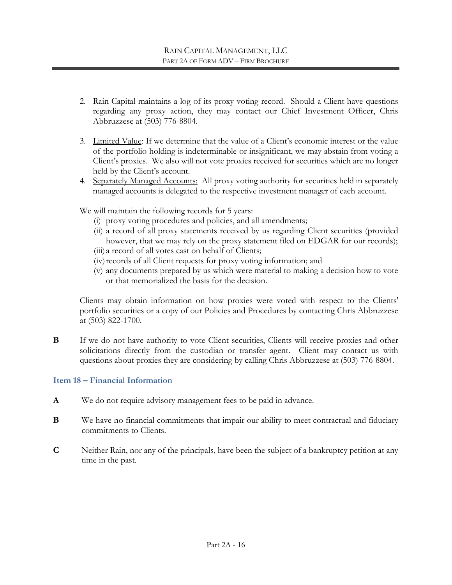- 2. Rain Capital maintains a log of its proxy voting record. Should a Client have questions regarding any proxy action, they may contact our Chief Investment Officer, Chris Abbruzzese at (503) 776-8804.
- 3. Limited Value: If we determine that the value of a Client's economic interest or the value of the portfolio holding is indeterminable or insignificant, we may abstain from voting a Client's proxies. We also will not vote proxies received for securities which are no longer held by the Client's account.
- 4. Separately Managed Accounts: All proxy voting authority for securities held in separately managed accounts is delegated to the respective investment manager of each account.

We will maintain the following records for 5 years:

- (i) proxy voting procedures and policies, and all amendments;
- (ii) a record of all proxy statements received by us regarding Client securities (provided however, that we may rely on the proxy statement filed on EDGAR for our records);
- (iii) a record of all votes cast on behalf of Clients;
- (iv) records of all Client requests for proxy voting information; and
- (v) any documents prepared by us which were material to making a decision how to vote or that memorialized the basis for the decision.

Clients may obtain information on how proxies were voted with respect to the Clients' portfolio securities or a copy of our Policies and Procedures by contacting Chris Abbruzzese at (503) 822-1700.

**B** If we do not have authority to vote Client securities, Clients will receive proxies and other solicitations directly from the custodian or transfer agent. Client may contact us with questions about proxies they are considering by calling Chris Abbruzzese at (503) 776-8804.

## <span id="page-15-0"></span>**Item 18 – Financial Information**

- **A** We do not require advisory management fees to be paid in advance.
- **B** We have no financial commitments that impair our ability to meet contractual and fiduciary commitments to Clients.
- **C** Neither Rain, nor any of the principals, have been the subject of a bankruptcy petition at any time in the past.